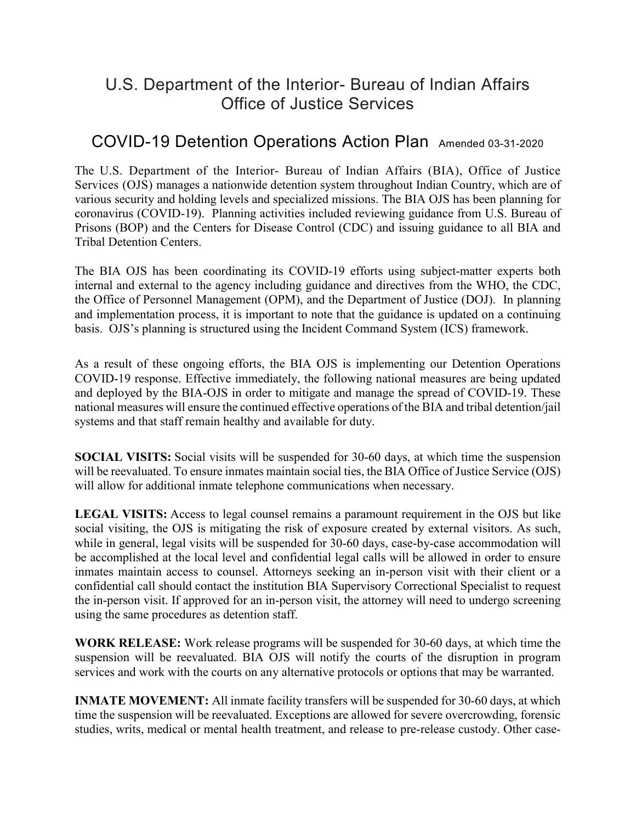## U.S. Department of the Interior- Bureau of Indian Affairs Office of Justice Services

## COVID-19 Detention Operations Action Plan Amended 03-31-2020

The U.S. Department of the Interior- Bureau of Indian Affairs (BIA), Office of Justice Services (OJS) manages a nationwide detention system throughout Indian Country, which are of various security and holding levels and specialized missions. The BIA OJS has been planning for coronavirus (COVID-19). Planning activities included reviewing guidance from U.S. Bureau of Prisons (BOP) and the Centers for Disease Control (CDC) and issuing guidance to all BIA and Tribal Detention Centers.

The BIA OJS has been coordinating its COVID-19 efforts using subject-matter experts both internal and external to the agency including guidance and directives from the WHO, the CDC, the Office of Personnel Management (OPM), and the Department of Justice (DOJ). In planning and implementation process, it is important to note that the guidance is updated on a continuing basis. OJS's planning is structured using the Incident Command System (ICS) framework.

As a result of these ongoing efforts, the BIA OJS is implementing our Detention Operations COVID-19 response. Effective immediately, the following national measures are being updated and deployed by the BIA-OJS in order to mitigate and manage the spread of COVID-19. These national measures will ensure the continued effective operations of the BIA and tribal detention/jail systems and that staff remain healthy and available for duty.

**SOCIAL VISITS:** Social visits will be suspended for 30-60 days, at which time the suspension will be reevaluated. To ensure inmates maintain social ties, the BIA Office of Justice Service (OJS) will allow for additional inmate telephone communications when necessary.

**LEGAL VISITS:** Access to legal counsel remains a paramount requirement in the OJS but like social visiting, the OJS is mitigating the risk of exposure created by external visitors. As such, while in general, legal visits will be suspended for 30-60 days, case-by-case accommodation will be accomplished at the local level and confidential legal calls will be allowed in order to ensure inmates maintain access to counsel. Attorneys seeking an in-person visit with their client or a confidential call should contact the institution BIA Supervisory Correctional Specialist to request the in-person visit. If approved for an in-person visit, the attorney will need to undergo screening using the same procedures as detention staff.

**WORK RELEASE:** Work release programs will be suspended for 30-60 days, at which time the suspension will be reevaluated. BIA OJS will notify the courts of the disruption in program services and work with the courts on any alternative protocols or options that may be warranted.

**INMATE MOVEMENT:** All inmate facility transfers will be suspended for 30-60 days, at which time the suspension will be reevaluated. Exceptions are allowed for severe overcrowding, forensic studies, writs, medical or mental health treatment, and release to pre-release custody. Other case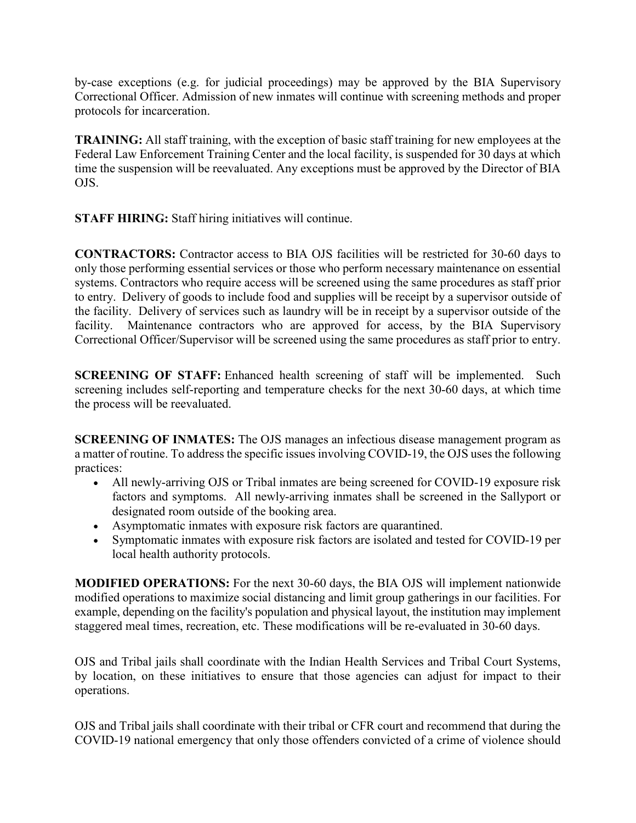by-case exceptions (e.g. for judicial proceedings) may be approved by the BIA Supervisory Correctional Officer. Admission of new inmates will continue with screening methods and proper protocols for incarceration.

**TRAINING:** All staff training, with the exception of basic staff training for new employees at the Federal Law Enforcement Training Center and the local facility, is suspended for 30 days at which time the suspension will be reevaluated. Any exceptions must be approved by the Director of BIA OJS.

**STAFF HIRING:** Staff hiring initiatives will continue.

**CONTRACTORS:** Contractor access to BIA OJS facilities will be restricted for 30-60 days to only those performing essential services or those who perform necessary maintenance on essential systems. Contractors who require access will be screened using the same procedures as staff prior to entry. Delivery of goods to include food and supplies will be receipt by a supervisor outside of the facility. Delivery of services such as laundry will be in receipt by a supervisor outside of the facility. Maintenance contractors who are approved for access, by the BIA Supervisory Correctional Officer/Supervisor will be screened using the same procedures as staff prior to entry.

**SCREENING OF STAFF:** Enhanced health screening of staff will be implemented. Such screening includes self-reporting and temperature checks for the next 30-60 days, at which time the process will be reevaluated.

**SCREENING OF INMATES:** The OJS manages an infectious disease management program as a matter of routine. To address the specific issues involving COVID-19, the OJS uses the following practices:

- All newly-arriving OJS or Tribal inmates are being screened for COVID-19 exposure risk factors and symptoms. All newly-arriving inmates shall be screened in the Sallyport or designated room outside of the booking area.
- Asymptomatic inmates with exposure risk factors are quarantined.
- Symptomatic inmates with exposure risk factors are isolated and tested for COVID-19 per local health authority protocols.

**MODIFIED OPERATIONS:** For the next 30-60 days, the BIA OJS will implement nationwide modified operations to maximize social distancing and limit group gatherings in our facilities. For example, depending on the facility's population and physical layout, the institution may implement staggered meal times, recreation, etc. These modifications will be re-evaluated in 30-60 days.

OJS and Tribal jails shall coordinate with the Indian Health Services and Tribal Court Systems, by location, on these initiatives to ensure that those agencies can adjust for impact to their operations.

OJS and Tribal jails shall coordinate with their tribal or CFR court and recommend that during the COVID-19 national emergency that only those offenders convicted of a crime of violence should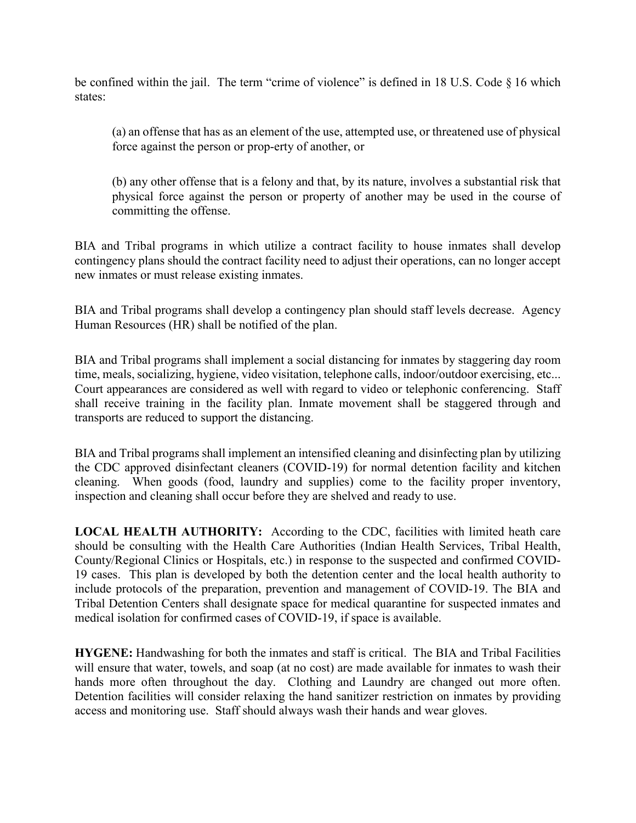be confined within the jail. The term "crime of violence" is defined in 18 U.S. Code § 16 which states:

(a) an offense that has as an element of the use, attempted use, or threatened use of physical force against the person or prop-erty of another, or

(b) any other offense that is a felony and that, by its nature, involves a substantial risk that physical force against the person or property of another may be used in the course of committing the offense.

BIA and Tribal programs in which utilize a contract facility to house inmates shall develop contingency plans should the contract facility need to adjust their operations, can no longer accept new inmates or must release existing inmates.

BIA and Tribal programs shall develop a contingency plan should staff levels decrease. Agency Human Resources (HR) shall be notified of the plan.

BIA and Tribal programs shall implement a social distancing for inmates by staggering day room time, meals, socializing, hygiene, video visitation, telephone calls, indoor/outdoor exercising, etc... Court appearances are considered as well with regard to video or telephonic conferencing. Staff shall receive training in the facility plan. Inmate movement shall be staggered through and transports are reduced to support the distancing.

BIA and Tribal programs shall implement an intensified cleaning and disinfecting plan by utilizing the CDC approved disinfectant cleaners (COVID-19) for normal detention facility and kitchen cleaning. When goods (food, laundry and supplies) come to the facility proper inventory, inspection and cleaning shall occur before they are shelved and ready to use.

**LOCAL HEALTH AUTHORITY:** According to the CDC, facilities with limited heath care should be consulting with the Health Care Authorities (Indian Health Services, Tribal Health, County/Regional Clinics or Hospitals, etc.) in response to the suspected and confirmed COVID-19 cases. This plan is developed by both the detention center and the local health authority to include protocols of the preparation, prevention and management of COVID-19. The BIA and Tribal Detention Centers shall designate space for medical quarantine for suspected inmates and medical isolation for confirmed cases of COVID-19, if space is available.

**HYGENE:** Handwashing for both the inmates and staff is critical. The BIA and Tribal Facilities will ensure that water, towels, and soap (at no cost) are made available for inmates to wash their hands more often throughout the day. Clothing and Laundry are changed out more often. Detention facilities will consider relaxing the hand sanitizer restriction on inmates by providing access and monitoring use. Staff should always wash their hands and wear gloves.